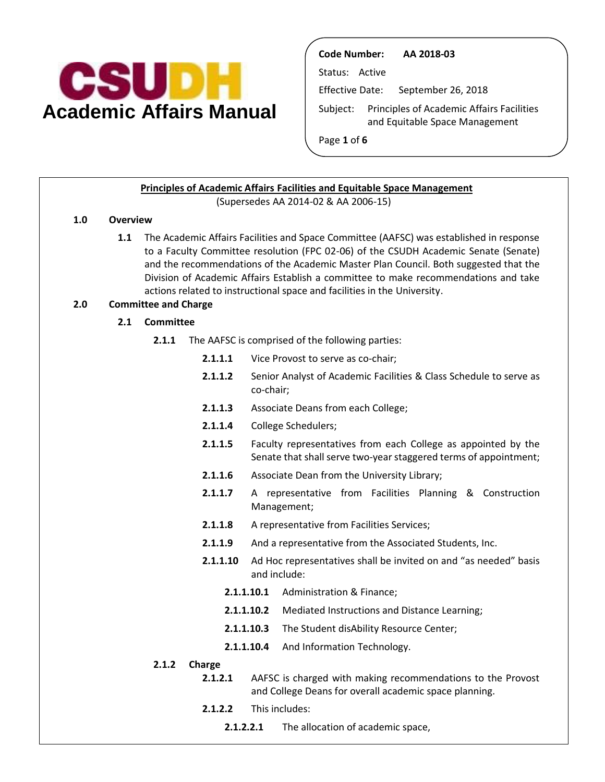

**Code Number: AA 2018-03**  Status: Active Effective Date: September 26, 2018 Subject: Principles of Academic Affairs Facilities and Equitable Space Management Page **1** of **6** 

#### **Principles of Academic Affairs Facilities and Equitable Space Management**  (Supersedes AA 2014-02 & AA 2006-15)

#### **1.0 Overview**

 to a Faculty Committee resolution (FPC 02-06) of the CSUDH Academic Senate (Senate) and the recommendations of the Academic Master Plan Council. Both suggested that the Division of Academic Affairs Establish a committee to make recommendations and take **1.1** The Academic Affairs Facilities and Space Committee (AAFSC) was established in response actions related to instructional space and facilities in the University.

#### **2.0 Committee and Charge**

- **2.1 Committee** 
	- **2.1.1** The AAFSC is comprised of the following parties:
		- **2.1.1.1** Vice Provost to serve as co-chair;
		- **2.1.1.2** Senior Analyst of Academic Facilities & Class Schedule to serve as co-chair;
		- **2.1.1.3** Associate Deans from each College;
		- **2.1.1.4** College Schedulers;
		- Senate that shall serve two-year staggered terms of appointment; **2.1.1.5** Faculty representatives from each College as appointed by the
		- **2.1.1.6** Associate Dean from the University Library;
		- **2.1.1.7** A representative from Facilities Planning & Construction Management;
		- **2.1.1.8** A representative from Facilities Services;
		- **2.1.1.9** And a representative from the Associated Students, Inc.
		- **2.1.1.10** Ad Hoc representatives shall be invited on and "as needed" basis and include:
			- **2.1.1.10.1** Administration & Finance;
			- **2.1.1.10.2** Mediated Instructions and Distance Learning;
			- **2.1.1.10.3** The Student disAbility Resource Center;
			- **2.1.1.10.4** And Information Technology.

#### **2.1.2 Charge**

- **2.1.2.1** AAFSC is charged with making recommendations to the Provost and College Deans for overall academic space planning.
	- **2.1.2.2** This includes:
		- **2.1.2.2.1** The allocation of academic space,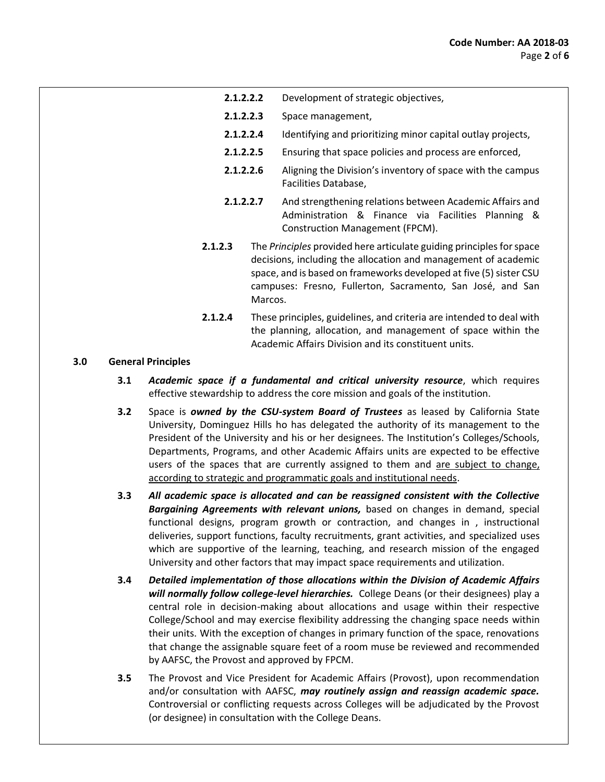- **2.1.2.2.2** Development of strategic objectives,
- **2.1.2.2.3** Space management,
- **2.1.2.2.4** Identifying and prioritizing minor capital outlay projects,
- **2.1.2.2.5** Ensuring that space policies and process are enforced,
- **2.1.2.2.6** Aligning the Division's inventory of space with the campus Facilities Database,
- **2.1.2.2.7** And strengthening relations between Academic Affairs and Administration & Finance via Facilities Planning & Construction Management (FPCM).
- **2.1.2.3** The *Principles* provided here articulate guiding principles for space decisions, including the allocation and management of academic space, and is based on frameworks developed at five (5) sister CSU campuses: Fresno, Fullerton, Sacramento, San José, and San Marcos.
- **2.1.2.4** These principles, guidelines, and criteria are intended to deal with the planning, allocation, and management of space within the Academic Affairs Division and its constituent units.

# **3.0 General Principles**

- **3.1** *Academic space if a fundamental and critical university resource*, which requires effective stewardship to address the core mission and goals of the institution.
- 3.2 Space is *owned by the CSU-system Board of Trustees* as leased by California State University, Dominguez Hills ho has delegated the authority of its management to the President of the University and his or her designees. The Institution's Colleges/Schools, Departments, Programs, and other Academic Affairs units are expected to be effective users of the spaces that are currently assigned to them and are subject to change, according to strategic and programmatic goals and institutional needs.
- **3.3** *All academic space is allocated and can be reassigned consistent with the Collective*  Bargaining Agreements with relevant unions, based on changes in demand, special functional designs, program growth or contraction, and changes in , instructional deliveries, support functions, faculty recruitments, grant activities, and specialized uses which are supportive of the learning, teaching, and research mission of the engaged University and other factors that may impact space requirements and utilization.
- **3.4** *Detailed implementation of those allocations within the Division of Academic Affairs*  will normally follow college-level hierarchies. College Deans (or their designees) play a central role in decision-making about allocations and usage within their respective their units. With the exception of changes in primary function of the space, renovations that change the assignable square feet of a room muse be reviewed and recommended College/School and may exercise flexibility addressing the changing space needs within by AAFSC, the Provost and approved by FPCM.
- **3.5** The Provost and Vice President for Academic Affairs (Provost), upon recommendation and/or consultation with AAFSC, may routinely assign and reassign academic space. Controversial or conflicting requests across Colleges will be adjudicated by the Provost (or designee) in consultation with the College Deans.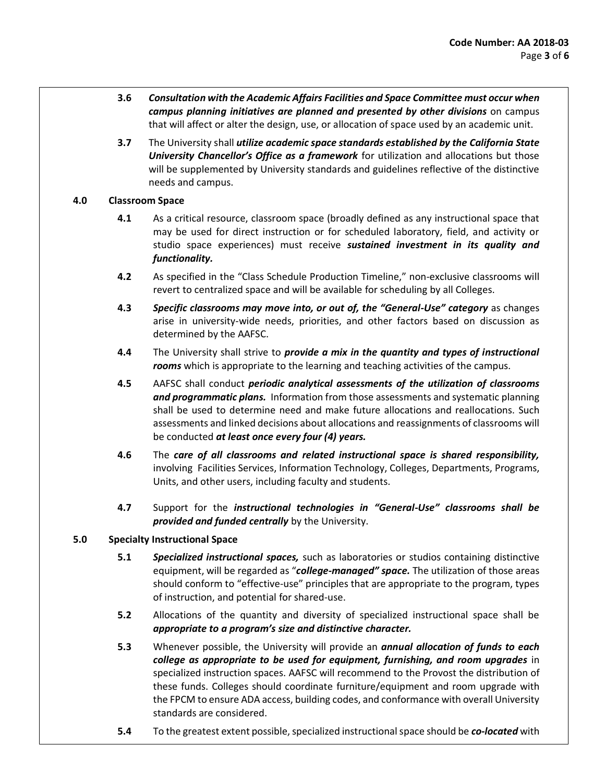- **3.6** *Consultation with the Academic Affairs Facilities and Space Committee must occur when*  campus planning initiatives are planned and presented by other divisions on campus that will affect or alter the design, use, or allocation of space used by an academic unit.
- **3.7** The University shall *utilize academic space standards established by the California State University Chancellor's Office as a framework* for utilization and allocations but those will be supplemented by University standards and guidelines reflective of the distinctive needs and campus.

# **4.0 Classroom Space**

- **4.1** As a critical resource, classroom space (broadly defined as any instructional space that may be used for direct instruction or for scheduled laboratory, field, and activity or studio space experiences) must receive *sustained investment in its quality and functionality.*
- **4.2** As specified in the "Class Schedule Production Timeline," non-exclusive classrooms will revert to centralized space and will be available for scheduling by all Colleges.
- **4.3** *Specific classrooms may move into, or out of, the "General-Use" category* as changes arise in university-wide needs, priorities, and other factors based on discussion as determined by the AAFSC.
- **4.4** The University shall strive to *provide a mix in the quantity and types of instructional rooms* which is appropriate to the learning and teaching activities of the campus.
- **4.5** AAFSC shall conduct *periodic analytical assessments of the utilization of classrooms and programmatic plans.* Information from those assessments and systematic planning shall be used to determine need and make future allocations and reallocations. Such assessments and linked decisions about allocations and reassignments of classrooms will be conducted *at least once every four (4) years.*
- **4.6** The *care of all classrooms and related instructional space is shared responsibility,*  involving Facilities Services, Information Technology, Colleges, Departments, Programs, Units, and other users, including faculty and students.
- **4.7** Support for the *instructional technologies in "General-Use" classrooms shall be provided and funded centrally* by the University.

# **5.0 Specialty Instructional Space**

- 5.1 **Specialized instructional spaces,** such as laboratories or studios containing distinctive  equipment, will be regarded as "*college-managed" space.* The utilization of those areas should conform to "effective-use" principles that are appropriate to the program, types of instruction, and potential for shared-use.
- **5.2** Allocations of the quantity and diversity of specialized instructional space shall be *appropriate to a program's size and distinctive character.*
- 5.3 Whenever possible, the University will provide an *annual allocation of funds to each college as appropriate to be used for equipment, furnishing, and room upgrades* in these funds. Colleges should coordinate furniture/equipment and room upgrade with the FPCM to ensure ADA access, building codes, and conformance with overall University specialized instruction spaces. AAFSC will recommend to the Provost the distribution of standards are considered.
- **5.4** To the greatest extent possible, specialized instructional space should be *co-located* with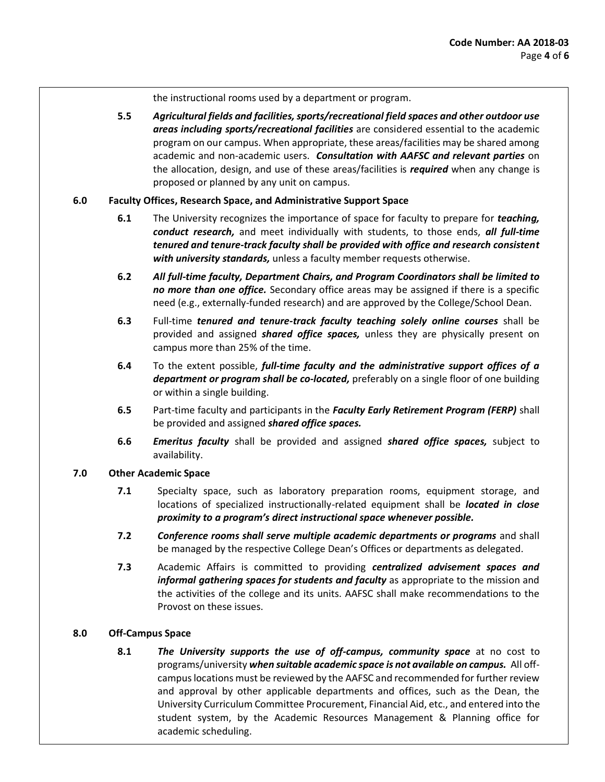the instructional rooms used by a department or program.

 **5.5** *Agricultural fields and facilities, sports/recreational field spaces and other outdoor use*  areas including sports/recreational facilities are considered essential to the academic program on our campus. When appropriate, these areas/facilities may be shared among  academic and non-academic users. *Consultation with AAFSC and relevant parties* on the allocation, design, and use of these areas/facilities is *required* when any change is proposed or planned by any unit on campus.

# **6.0 Faculty Offices, Research Space, and Administrative Support Space**

- **6.1** The University recognizes the importance of space for faculty to prepare for *teaching, conduct research,* and meet individually with students, to those ends, *all full-time tenured and tenure-track faculty shall be provided with office and research consistent with university standards,* unless a faculty member requests otherwise.
- **6.2** *All full-time faculty, Department Chairs, and Program Coordinators shall be limited to no more than one office.* Secondary office areas may be assigned if there is a specific need (e.g., externally-funded research) and are approved by the College/School Dean.
- 6.3 Full-time *tenured and tenure-track faculty teaching solely online courses* shall be  provided and assigned *shared office spaces,* unless they are physically present on campus more than 25% of the time.
- **6.4** To the extent possible, *full-time faculty and the administrative support offices of a department or program shall be co-located,* preferably on a single floor of one building or within a single building.
- **6.5** Part-time faculty and participants in the *Faculty Early Retirement Program (FERP)* shall be provided and assigned *shared office spaces.*
- **6.6** *Emeritus faculty* shall be provided and assigned *shared office spaces,* subject to availability.

# **7.0 Other Academic Space**

- **7.1** Specialty space, such as laboratory preparation rooms, equipment storage, and locations of specialized instructionally-related equipment shall be *located in close proximity to a program's direct instructional space whenever possible.*
- **7.2** *Conference rooms shall serve multiple academic departments or programs* and shall be managed by the respective College Dean's Offices or departments as delegated.
- **7.3** Academic Affairs is committed to providing *centralized advisement spaces and*  informal gathering spaces for students and faculty as appropriate to the mission and the activities of the college and its units. AAFSC shall make recommendations to the Provost on these issues.

# **8.0 Off-Campus Space**

8.1 **The University supports the use of off-campus, community space** at no cost to  programs/university *when suitable academic space is not available on campus.* All off- campus locations must be reviewed by the AAFSC and recommended for further review student system, by the Academic Resources Management & Planning office for and approval by other applicable departments and offices, such as the Dean, the University Curriculum Committee Procurement, Financial Aid, etc., and entered into the academic scheduling.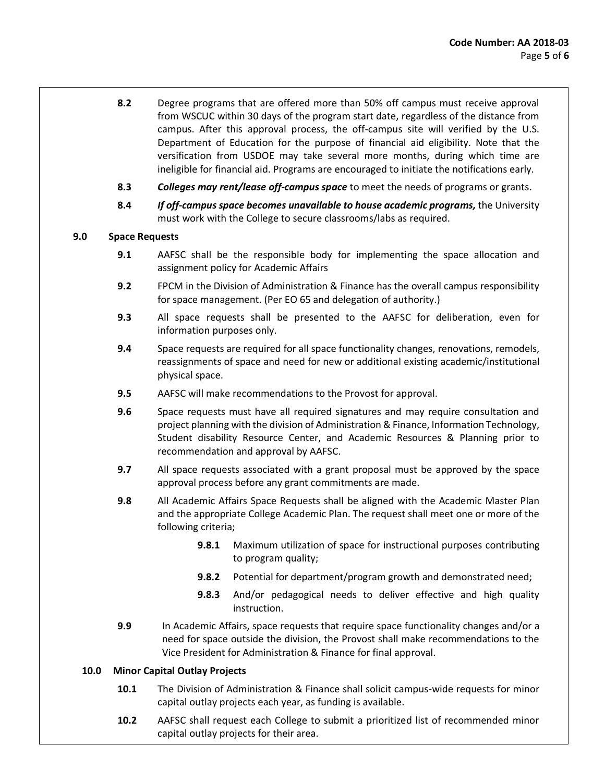- **8.2** Degree programs that are offered more than 50% off campus must receive approval from WSCUC within 30 days of the program start date, regardless of the distance from campus. After this approval process, the off-campus site will verified by the U.S. Department of Education for the purpose of financial aid eligibility. Note that the versification from USDOE may take several more months, during which time are ineligible for financial aid. Programs are encouraged to initiate the notifications early.
- **8.3** *Colleges may rent/lease off-campus space* to meet the needs of programs or grants.
- 8.4 *If off-campus space becomes unavailable to house academic programs, the University* must work with the College to secure classrooms/labs as required.

# **9.0 Space Requests**

- **9.1** AAFSC shall be the responsible body for implementing the space allocation and assignment policy for Academic Affairs
- **9.2** FPCM in the Division of Administration & Finance has the overall campus responsibility for space management. (Per EO 65 and delegation of authority.)
- **9.3** All space requests shall be presented to the AAFSC for deliberation, even for information purposes only.
- reassignments of space and need for new or additional existing academic/institutional **9.4** Space requests are required for all space functionality changes, renovations, remodels, physical space.
- **9.5** AAFSC will make recommendations to the Provost for approval.
- **9.6** Space requests must have all required signatures and may require consultation and project planning with the division of Administration & Finance, Information Technology, Student disability Resource Center, and Academic Resources & Planning prior to recommendation and approval by AAFSC.
- **9.7** All space requests associated with a grant proposal must be approved by the space approval process before any grant commitments are made.
- **9.8** All Academic Affairs Space Requests shall be aligned with the Academic Master Plan and the appropriate College Academic Plan. The request shall meet one or more of the following criteria;
	- **9.8.1** Maximum utilization of space for instructional purposes contributing to program quality;
	- **9.8.2** Potential for department/program growth and demonstrated need;
	- **9.8.3** And/or pedagogical needs to deliver effective and high quality instruction.
- **9.9** In Academic Affairs, space requests that require space functionality changes and/or a need for space outside the division, the Provost shall make recommendations to the Vice President for Administration & Finance for final approval.

# **10.0 Minor Capital Outlay Projects**

- **10.1** The Division of Administration & Finance shall solicit campus-wide requests for minor capital outlay projects each year, as funding is available.
- **10.2** AAFSC shall request each College to submit a prioritized list of recommended minor capital outlay projects for their area.